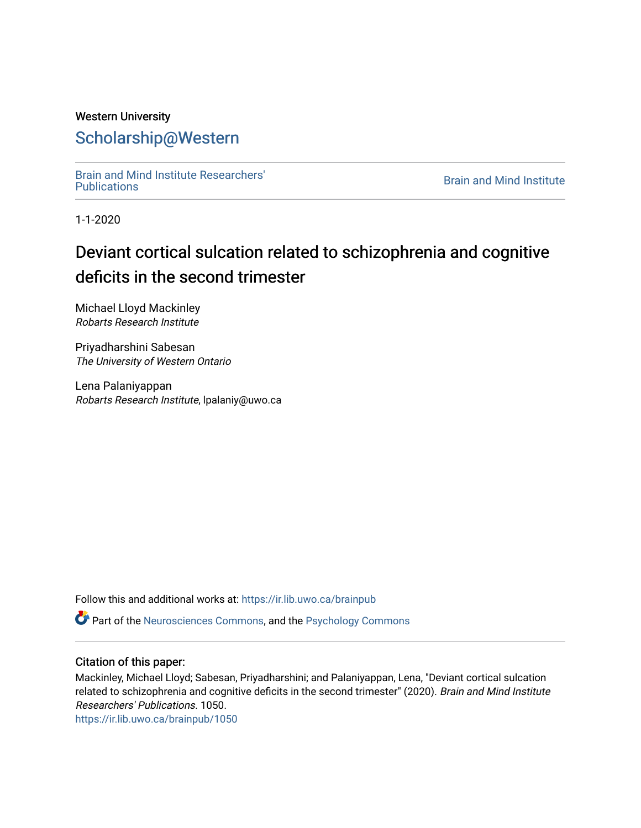## Western University [Scholarship@Western](https://ir.lib.uwo.ca/)

[Brain and Mind Institute Researchers'](https://ir.lib.uwo.ca/brainpub) 

**Brain and Mind Institute** 

1-1-2020

## Deviant cortical sulcation related to schizophrenia and cognitive deficits in the second trimester

Michael Lloyd Mackinley Robarts Research Institute

Priyadharshini Sabesan The University of Western Ontario

Lena Palaniyappan Robarts Research Institute, lpalaniy@uwo.ca

Follow this and additional works at: [https://ir.lib.uwo.ca/brainpub](https://ir.lib.uwo.ca/brainpub?utm_source=ir.lib.uwo.ca%2Fbrainpub%2F1050&utm_medium=PDF&utm_campaign=PDFCoverPages)

Part of the [Neurosciences Commons](http://network.bepress.com/hgg/discipline/1010?utm_source=ir.lib.uwo.ca%2Fbrainpub%2F1050&utm_medium=PDF&utm_campaign=PDFCoverPages), and the [Psychology Commons](http://network.bepress.com/hgg/discipline/404?utm_source=ir.lib.uwo.ca%2Fbrainpub%2F1050&utm_medium=PDF&utm_campaign=PDFCoverPages) 

#### Citation of this paper:

Mackinley, Michael Lloyd; Sabesan, Priyadharshini; and Palaniyappan, Lena, "Deviant cortical sulcation related to schizophrenia and cognitive deficits in the second trimester" (2020). Brain and Mind Institute Researchers' Publications. 1050.

[https://ir.lib.uwo.ca/brainpub/1050](https://ir.lib.uwo.ca/brainpub/1050?utm_source=ir.lib.uwo.ca%2Fbrainpub%2F1050&utm_medium=PDF&utm_campaign=PDFCoverPages)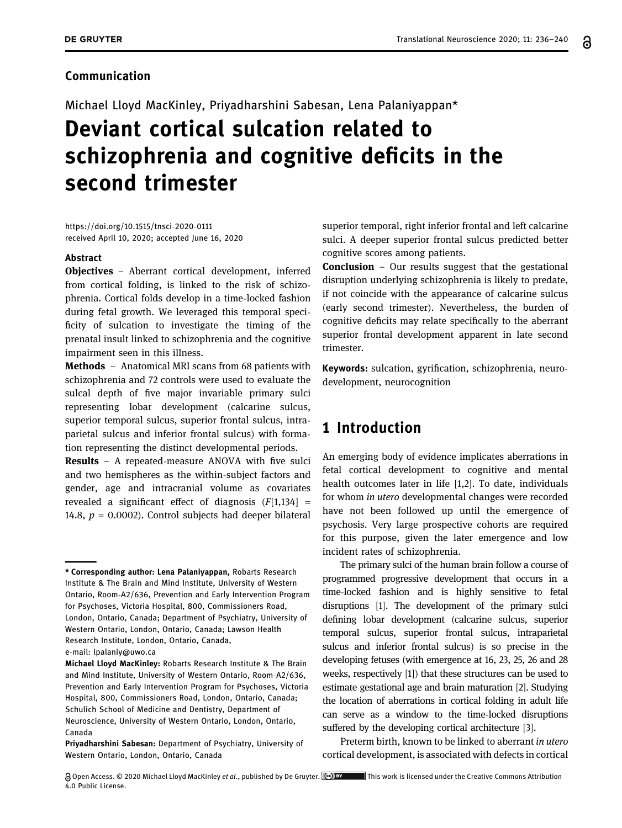#### Communication

Michael Lloyd MacKinley, Priyadharshini Sabesan, Lena Palaniyappan\*

# Deviant cortical sulcation related to schizophrenia and cognitive deficits in the second trimester

[https://doi.org/10.1515/tnsci](https://doi.org/10.1515/tnsci-2020-0111)-2020-0111 received April 10, 2020; accepted June 16, 2020

#### Abstract

Objectives - Aberrant cortical development, inferred from cortical folding, is linked to the risk of schizophrenia. Cortical folds develop in a time-locked fashion during fetal growth. We leveraged this temporal specificity of sulcation to investigate the timing of the prenatal insult linked to schizophrenia and the cognitive impairment seen in this illness.

**Methods** – Anatomical MRI scans from 68 patients with schizophrenia and 72 controls were used to evaluate the sulcal depth of five major invariable primary sulci representing lobar development (calcarine sulcus, superior temporal sulcus, superior frontal sulcus, intraparietal sulcus and inferior frontal sulcus) with formation representing the distinct developmental periods.

**Results**  $-$  A repeated-measure ANOVA with five sulci and two hemispheres as the within-subject factors and gender, age and intracranial volume as covariates revealed a significant effect of diagnosis  $(F[1,134] =$ 14.8,  $p = 0.0002$ ). Control subjects had deeper bilateral

e-mail: [lpalaniy@uwo.ca](mailto:lpalaniy@uwo.ca)

superior temporal, right inferior frontal and left calcarine sulci. A deeper superior frontal sulcus predicted better cognitive scores among patients.

**Conclusion**  $-$  Our results suggest that the gestational disruption underlying schizophrenia is likely to predate, if not coincide with the appearance of calcarine sulcus (early second trimester). Nevertheless, the burden of cognitive deficits may relate specifically to the aberrant superior frontal development apparent in late second trimester.

Keywords: sulcation, gyrification, schizophrenia, neurodevelopment, neurocognition

## 1 Introduction

An emerging body of evidence implicates aberrations in fetal cortical development to cognitive and mental health outcomes later in life [[1,](#page-4-0)[2](#page-4-1)]. To date, individuals for whom in utero developmental changes were recorded have not been followed up until the emergence of psychosis. Very large prospective cohorts are required for this purpose, given the later emergence and low incident rates of schizophrenia.

The primary sulci of the human brain follow a course of programmed progressive development that occurs in a time-locked fashion and is highly sensitive to fetal disruptions [[1](#page-4-0)]. The development of the primary sulci defining lobar development (calcarine sulcus, superior temporal sulcus, superior frontal sulcus, intraparietal sulcus and inferior frontal sulcus) is so precise in the developing fetuses (with emergence at 16, 23, 25, 26 and 28 weeks, respectively [[1](#page-4-0)]) that these structures can be used to estimate gestational age and brain maturation [[2](#page-4-1)]. Studying the location of aberrations in cortical folding in adult life can serve as a window to the time-locked disruptions suffered by the developing cortical architecture [[3](#page-4-2)].

Preterm birth, known to be linked to aberrant in utero cortical development, is associated with defects in cortical

<sup>\*</sup> Corresponding author: Lena Palaniyappan, Robarts Research Institute & The Brain and Mind Institute, University of Western Ontario, Room-A2/636, Prevention and Early Intervention Program for Psychoses, Victoria Hospital, 800, Commissioners Road, London, Ontario, Canada; Department of Psychiatry, University of Western Ontario, London, Ontario, Canada; Lawson Health Research Institute, London, Ontario, Canada,

Michael Lloyd MacKinley: Robarts Research Institute & The Brain and Mind Institute, University of Western Ontario, Room-A2/636, Prevention and Early Intervention Program for Psychoses, Victoria Hospital, 800, Commissioners Road, London, Ontario, Canada; Schulich School of Medicine and Dentistry, Department of Neuroscience, University of Western Ontario, London, Ontario, Canada

Priyadharshini Sabesan: Department of Psychiatry, University of Western Ontario, London, Ontario, Canada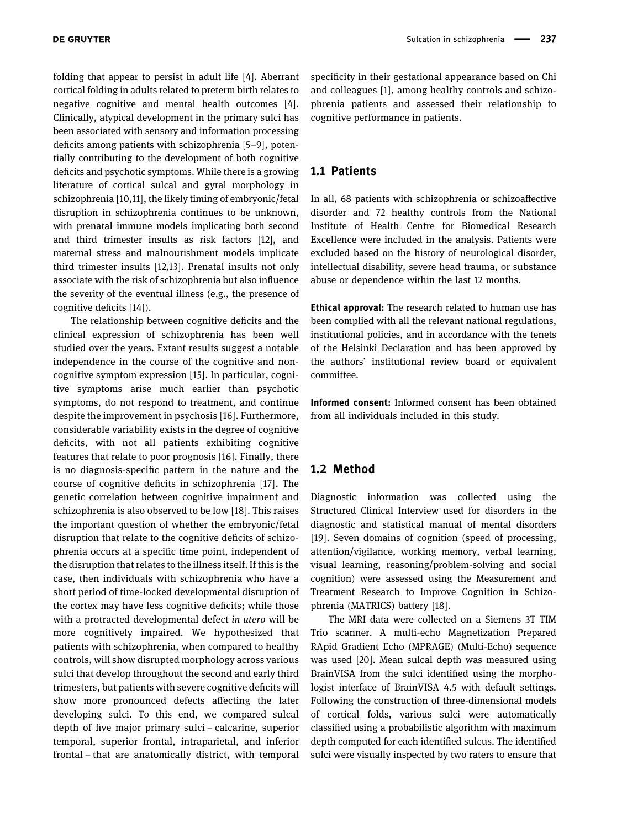folding that appear to persist in adult life [[4](#page-5-0)]. Aberrant cortical folding in adults related to preterm birth relates to negative cognitive and mental health outcomes [[4](#page-5-0)]. Clinically, atypical development in the primary sulci has been associated with sensory and information processing deficits among patients with schizophrenia [[5](#page-5-1)–[9](#page-5-2)], potentially contributing to the development of both cognitive deficits and psychotic symptoms. While there is a growing literature of cortical sulcal and gyral morphology in schizophrenia [[10,](#page-5-3)[11](#page-5-4)], the likely timing of embryonic/fetal disruption in schizophrenia continues to be unknown, with prenatal immune models implicating both second and third trimester insults as risk factors [[12](#page-5-5)], and maternal stress and malnourishment models implicate third trimester insults [[12](#page-5-5),[13](#page-5-6)]. Prenatal insults not only associate with the risk of schizophrenia but also influence the severity of the eventual illness (e.g., the presence of cognitive deficits [[14](#page-5-7)]).

The relationship between cognitive deficits and the clinical expression of schizophrenia has been well studied over the years. Extant results suggest a notable independence in the course of the cognitive and noncognitive symptom expression [[15](#page-5-8)]. In particular, cognitive symptoms arise much earlier than psychotic symptoms, do not respond to treatment, and continue despite the improvement in psychosis [[16](#page-5-9)]. Furthermore, considerable variability exists in the degree of cognitive deficits, with not all patients exhibiting cognitive features that relate to poor prognosis [[16](#page-5-9)]. Finally, there is no diagnosis-specific pattern in the nature and the course of cognitive deficits in schizophrenia [[17](#page-5-10)]. The genetic correlation between cognitive impairment and schizophrenia is also observed to be low [[18](#page-5-11)]. This raises the important question of whether the embryonic/fetal disruption that relate to the cognitive deficits of schizophrenia occurs at a specific time point, independent of the disruption that relates to the illness itself. If this is the case, then individuals with schizophrenia who have a short period of time-locked developmental disruption of the cortex may have less cognitive deficits; while those with a protracted developmental defect in utero will be more cognitively impaired. We hypothesized that patients with schizophrenia, when compared to healthy controls, will show disrupted morphology across various sulci that develop throughout the second and early third trimesters, but patients with severe cognitive deficits will show more pronounced defects affecting the later developing sulci. To this end, we compared sulcal depth of five major primary sulci – calcarine, superior temporal, superior frontal, intraparietal, and inferior frontal – that are anatomically district, with temporal specificity in their gestational appearance based on Chi and colleagues [[1](#page-4-0)], among healthy controls and schizophrenia patients and assessed their relationship to cognitive performance in patients.

#### 1.1 Patients

In all, 68 patients with schizophrenia or schizoaffective disorder and 72 healthy controls from the National Institute of Health Centre for Biomedical Research Excellence were included in the analysis. Patients were excluded based on the history of neurological disorder, intellectual disability, severe head trauma, or substance abuse or dependence within the last 12 months.

Ethical approval: The research related to human use has been complied with all the relevant national regulations, institutional policies, and in accordance with the tenets of the Helsinki Declaration and has been approved by the authors' institutional review board or equivalent committee.

Informed consent: Informed consent has been obtained from all individuals included in this study.

#### 1.2 Method

Diagnostic information was collected using the Structured Clinical Interview used for disorders in the diagnostic and statistical manual of mental disorders [[19](#page-5-12)]. Seven domains of cognition (speed of processing, attention/vigilance, working memory, verbal learning, visual learning, reasoning/problem-solving and social cognition) were assessed using the Measurement and Treatment Research to Improve Cognition in Schizophrenia (MATRICS) battery [[18](#page-5-11)].

The MRI data were collected on a Siemens 3T TIM Trio scanner. A multi-echo Magnetization Prepared RApid Gradient Echo (MPRAGE) (Multi-Echo) sequence was used [[20](#page-5-13)]. Mean sulcal depth was measured using BrainVISA from the sulci identified using the morphologist interface of BrainVISA 4.5 with default settings. Following the construction of three-dimensional models of cortical folds, various sulci were automatically classified using a probabilistic algorithm with maximum depth computed for each identified sulcus. The identified sulci were visually inspected by two raters to ensure that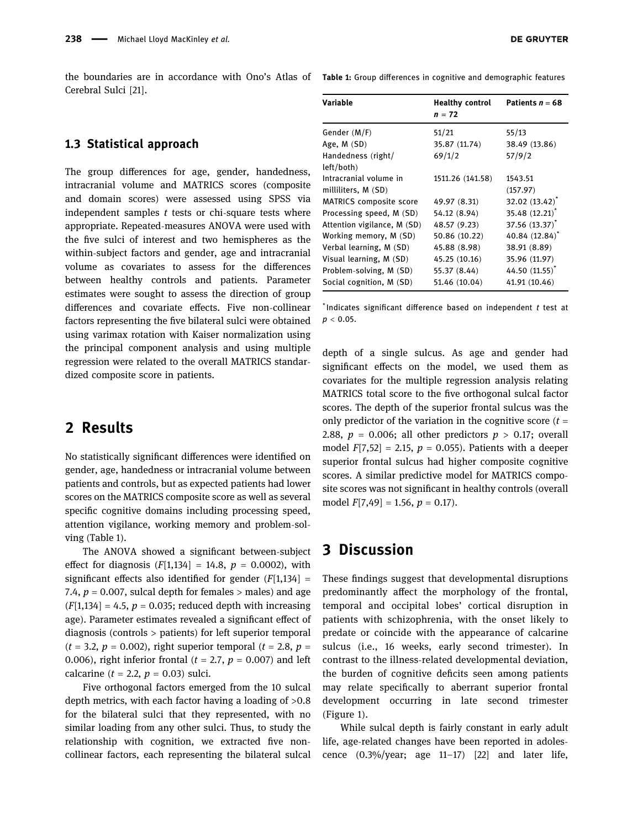the boundaries are in accordance with Ono's Atlas of Table 1: Group differences in cognitive and demographic features Cerebral Sulci [[21](#page-5-14)].

#### 1.3 Statistical approach

The group differences for age, gender, handedness, intracranial volume and MATRICS scores (composite and domain scores) were assessed using SPSS via independent samples  $t$  tests or chi-square tests where appropriate. Repeated-measures ANOVA were used with the five sulci of interest and two hemispheres as the within-subject factors and gender, age and intracranial volume as covariates to assess for the differences between healthy controls and patients. Parameter estimates were sought to assess the direction of group differences and covariate effects. Five non-collinear factors representing the five bilateral sulci were obtained using varimax rotation with Kaiser normalization using the principal component analysis and using multiple regression were related to the overall MATRICS standardized composite score in patients.

## 2 Results

No statistically significant differences were identified on gender, age, handedness or intracranial volume between patients and controls, but as expected patients had lower scores on the MATRICS composite score as well as several specific cognitive domains including processing speed, attention vigilance, working memory and problem-solving ([Table 1](#page-3-0)).

The ANOVA showed a significant between-subject effect for diagnosis  $(F[1,134] = 14.8, p = 0.0002)$ , with significant effects also identified for gender  $(F[1,134] =$ 7.4,  $p = 0.007$ , sulcal depth for females  $>$  males) and age  $(F[1,134] = 4.5, p = 0.035;$  reduced depth with increasing age). Parameter estimates revealed a significant effect of diagnosis (controls > patients) for left superior temporal  $(t = 3.2, p = 0.002)$ , right superior temporal  $(t = 2.8, p = 1)$ 0.006), right inferior frontal ( $t = 2.7$ ,  $p = 0.007$ ) and left calcarine ( $t = 2.2$ ,  $p = 0.03$ ) sulci.

Five orthogonal factors emerged from the 10 sulcal depth metrics, with each factor having a loading of >0.8 for the bilateral sulci that they represented, with no similar loading from any other sulci. Thus, to study the relationship with cognition, we extracted five noncollinear factors, each representing the bilateral sulcal

<span id="page-3-0"></span>

| Variable                         | <b>Healthy control</b><br>$n = 72$ | Patients $n = 68$          |
|----------------------------------|------------------------------------|----------------------------|
| Gender (M/F)                     | 51/21                              | 55/13                      |
| Age, $M(SD)$                     | 35.87 (11.74)                      | 38.49 (13.86)              |
| Handedness (right/<br>left/both) | 69/1/2                             | 57/9/2                     |
| Intracranial volume in           | 1511.26 (141.58)                   | 1543.51                    |
| milliliters, M (SD)              |                                    | (157.97)                   |
| <b>MATRICS</b> composite score   | 49.97 (8.31)                       | $32.02(13.42)^{*}$         |
| Processing speed, M (SD)         | 54.12 (8.94)                       | $35.48(12.21)^*$           |
| Attention vigilance, M (SD)      | 48.57 (9.23)                       | 37.56 (13.37) <sup>*</sup> |
| Working memory, M (SD)           | 50.86 (10.22)                      | 40.84 (12.84) <sup>*</sup> |
| Verbal learning, M (SD)          | 45.88 (8.98)                       | 38.91 (8.89)               |
| Visual learning, M (SD)          | 45.25 (10.16)                      | 35.96 (11.97)              |
| Problem-solving, M (SD)          | 55.37 (8.44)                       | 44.50 (11.55) <sup>*</sup> |
| Social cognition, M (SD)         | 51.46 (10.04)                      | 41.91 (10.46)              |

 $*$ Indicates significant difference based on independent  $t$  test at  $p < 0.05$ .

depth of a single sulcus. As age and gender had significant effects on the model, we used them as covariates for the multiple regression analysis relating MATRICS total score to the five orthogonal sulcal factor scores. The depth of the superior frontal sulcus was the only predictor of the variation in the cognitive score  $(t =$ 2.88,  $p = 0.006$ ; all other predictors  $p > 0.17$ ; overall model  $F[7,52] = 2.15$ ,  $p = 0.055$ ). Patients with a deeper superior frontal sulcus had higher composite cognitive scores. A similar predictive model for MATRICS composite scores was not significant in healthy controls (overall model  $F[7,49] = 1.56$ ,  $p = 0.17$ ).

## 3 Discussion

These findings suggest that developmental disruptions predominantly affect the morphology of the frontal, temporal and occipital lobes' cortical disruption in patients with schizophrenia, with the onset likely to predate or coincide with the appearance of calcarine sulcus (i.e., 16 weeks, early second trimester). In contrast to the illness-related developmental deviation, the burden of cognitive deficits seen among patients may relate specifically to aberrant superior frontal development occurring in late second trimester ([Figure 1](#page-4-3)).

While sulcal depth is fairly constant in early adult life, age-related changes have been reported in adolescence  $(0.3\%/year; age 11–17)$  [[22](#page-5-15)] and later life,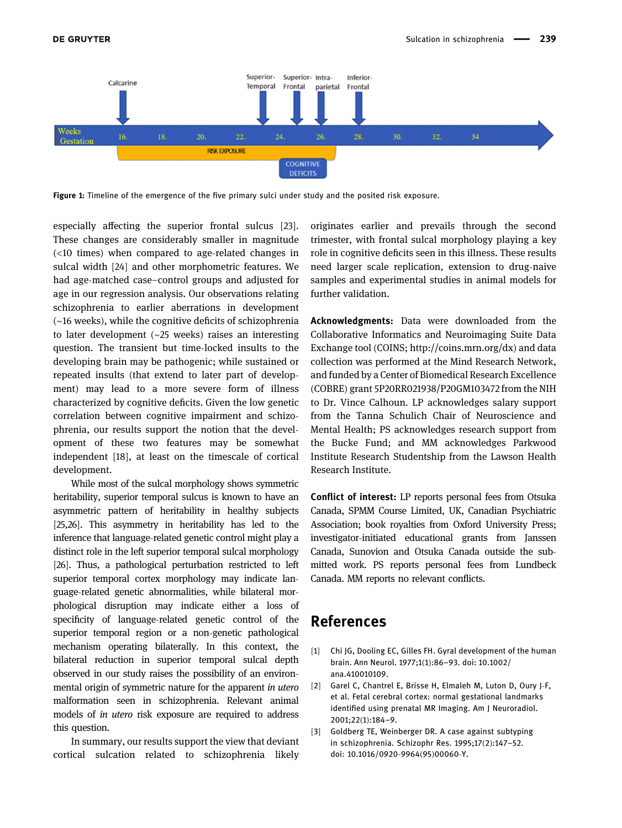<span id="page-4-3"></span>

Figure 1: Timeline of the emergence of the five primary sulci under study and the posited risk exposure.

especially affecting the superior frontal sulcus [[23](#page-5-16)]. These changes are considerably smaller in magnitude (<10 times) when compared to age-related changes in sulcal width [[24](#page-5-17)] and other morphometric features. We had age-matched case–control groups and adjusted for age in our regression analysis. Our observations relating schizophrenia to earlier aberrations in development (∼16 weeks), while the cognitive deficits of schizophrenia to later development (∼25 weeks) raises an interesting question. The transient but time-locked insults to the developing brain may be pathogenic; while sustained or repeated insults (that extend to later part of development) may lead to a more severe form of illness characterized by cognitive deficits. Given the low genetic correlation between cognitive impairment and schizophrenia, our results support the notion that the development of these two features may be somewhat independent [[18](#page-5-11)], at least on the timescale of cortical development.

While most of the sulcal morphology shows symmetric heritability, superior temporal sulcus is known to have an asymmetric pattern of heritability in healthy subjects [[25](#page-5-18)[,26](#page-5-19)]. This asymmetry in heritability has led to the inference that language-related genetic control might play a distinct role in the left superior temporal sulcal morphology [[26](#page-5-19)]. Thus, a pathological perturbation restricted to left superior temporal cortex morphology may indicate language-related genetic abnormalities, while bilateral morphological disruption may indicate either a loss of specificity of language-related genetic control of the superior temporal region or a non-genetic pathological mechanism operating bilaterally. In this context, the bilateral reduction in superior temporal sulcal depth observed in our study raises the possibility of an environmental origin of symmetric nature for the apparent in utero malformation seen in schizophrenia. Relevant animal models of in utero risk exposure are required to address this question.

In summary, our results support the view that deviant cortical sulcation related to schizophrenia likely originates earlier and prevails through the second trimester, with frontal sulcal morphology playing a key role in cognitive deficits seen in this illness. These results need larger scale replication, extension to drug-naive samples and experimental studies in animal models for further validation.

Acknowledgments: Data were downloaded from the Collaborative Informatics and Neuroimaging Suite Data Exchange tool (COINS;<http://coins.mrn.org/dx>) and data collection was performed at the Mind Research Network, and funded by a Center of Biomedical Research Excellence (COBRE) grant 5P20RR021938/P20GM103472 from the NIH to Dr. Vince Calhoun. LP acknowledges salary support from the Tanna Schulich Chair of Neuroscience and Mental Health; PS acknowledges research support from the Bucke Fund; and MM acknowledges Parkwood Institute Research Studentship from the Lawson Health Research Institute.

Conflict of interest: LP reports personal fees from Otsuka Canada, SPMM Course Limited, UK, Canadian Psychiatric Association; book royalties from Oxford University Press; investigator-initiated educational grants from Janssen Canada, Sunovion and Otsuka Canada outside the submitted work. PS reports personal fees from Lundbeck Canada. MM reports no relevant conflicts.

## References

- <span id="page-4-0"></span>[1] Chi JG, Dooling EC, Gilles FH. Gyral development of the human brain. Ann Neurol. 1977;1(1):86–93. doi: 10.1002/ ana.410010109.
- <span id="page-4-1"></span>[2] Garel C, Chantrel E, Brisse H, Elmaleh M, Luton D, Oury J-F, et al. Fetal cerebral cortex: normal gestational landmarks identified using prenatal MR Imaging. Am J Neuroradiol. 2001;22(1):184–9.
- <span id="page-4-2"></span>[3] Goldberg TE, Weinberger DR. A case against subtyping in schizophrenia. Schizophr Res. 1995;17(2):147–52. doi: 10.1016/0920-9964(95)00060-Y.